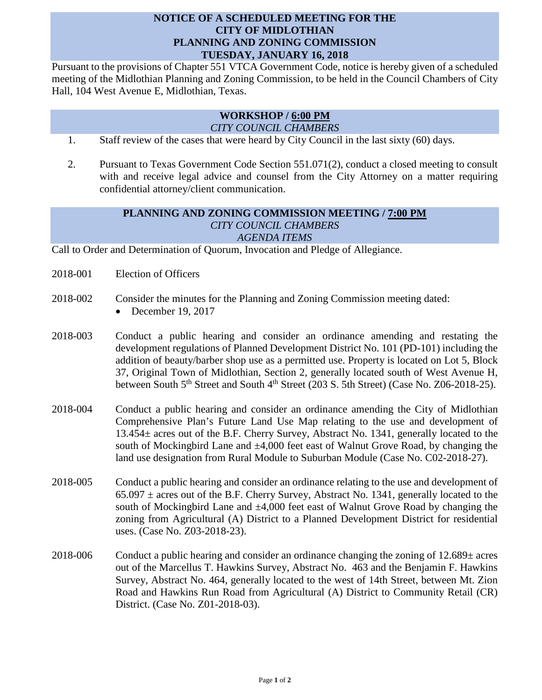## **NOTICE OF A SCHEDULED MEETING FOR THE CITY OF MIDLOTHIAN PLANNING AND ZONING COMMISSION TUESDAY, JANUARY 16, 2018**

Pursuant to the provisions of Chapter 551 VTCA Government Code, notice is hereby given of a scheduled meeting of the Midlothian Planning and Zoning Commission, to be held in the Council Chambers of City Hall, 104 West Avenue E, Midlothian, Texas.

## **WORKSHOP / 6:00 PM** *CITY COUNCIL CHAMBERS*

- 1. Staff review of the cases that were heard by City Council in the last sixty (60) days.
- 2. Pursuant to Texas Government Code Section 551.071(2), conduct a closed meeting to consult with and receive legal advice and counsel from the City Attorney on a matter requiring confidential attorney/client communication.

## **PLANNING AND ZONING COMMISSION MEETING / 7:00 PM** *CITY COUNCIL CHAMBERS AGENDA ITEMS*

Call to Order and Determination of Quorum, Invocation and Pledge of Allegiance.

- 2018-001 Election of Officers
- 2018-002 Consider the minutes for the Planning and Zoning Commission meeting dated:
	- December 19, 2017
- 2018-003 Conduct a public hearing and consider an ordinance amending and restating the development regulations of Planned Development District No. 101 (PD-101) including the addition of beauty/barber shop use as a permitted use. Property is located on Lot 5, Block 37, Original Town of Midlothian, Section 2, generally located south of West Avenue H, between South  $5<sup>th</sup>$  Street and South  $4<sup>th</sup>$  Street (203 S. 5th Street) (Case No. Z06-2018-25).
- 2018-004 Conduct a public hearing and consider an ordinance amending the City of Midlothian Comprehensive Plan's Future Land Use Map relating to the use and development of 13.454± acres out of the B.F. Cherry Survey, Abstract No. 1341, generally located to the south of Mockingbird Lane and  $\pm 4,000$  feet east of Walnut Grove Road, by changing the land use designation from Rural Module to Suburban Module (Case No. C02-2018-27).
- 2018-005 Conduct a public hearing and consider an ordinance relating to the use and development of  $65.097 \pm \text{acres}$  out of the B.F. Cherry Survey, Abstract No. 1341, generally located to the south of Mockingbird Lane and ±4,000 feet east of Walnut Grove Road by changing the zoning from Agricultural (A) District to a Planned Development District for residential uses. (Case No. Z03-2018-23).
- 2018-006 Conduct a public hearing and consider an ordinance changing the zoning of 12.689± acres out of the Marcellus T. Hawkins Survey, Abstract No. 463 and the Benjamin F. Hawkins Survey, Abstract No. 464, generally located to the west of 14th Street, between Mt. Zion Road and Hawkins Run Road from Agricultural (A) District to Community Retail (CR) District. (Case No. Z01-2018-03).